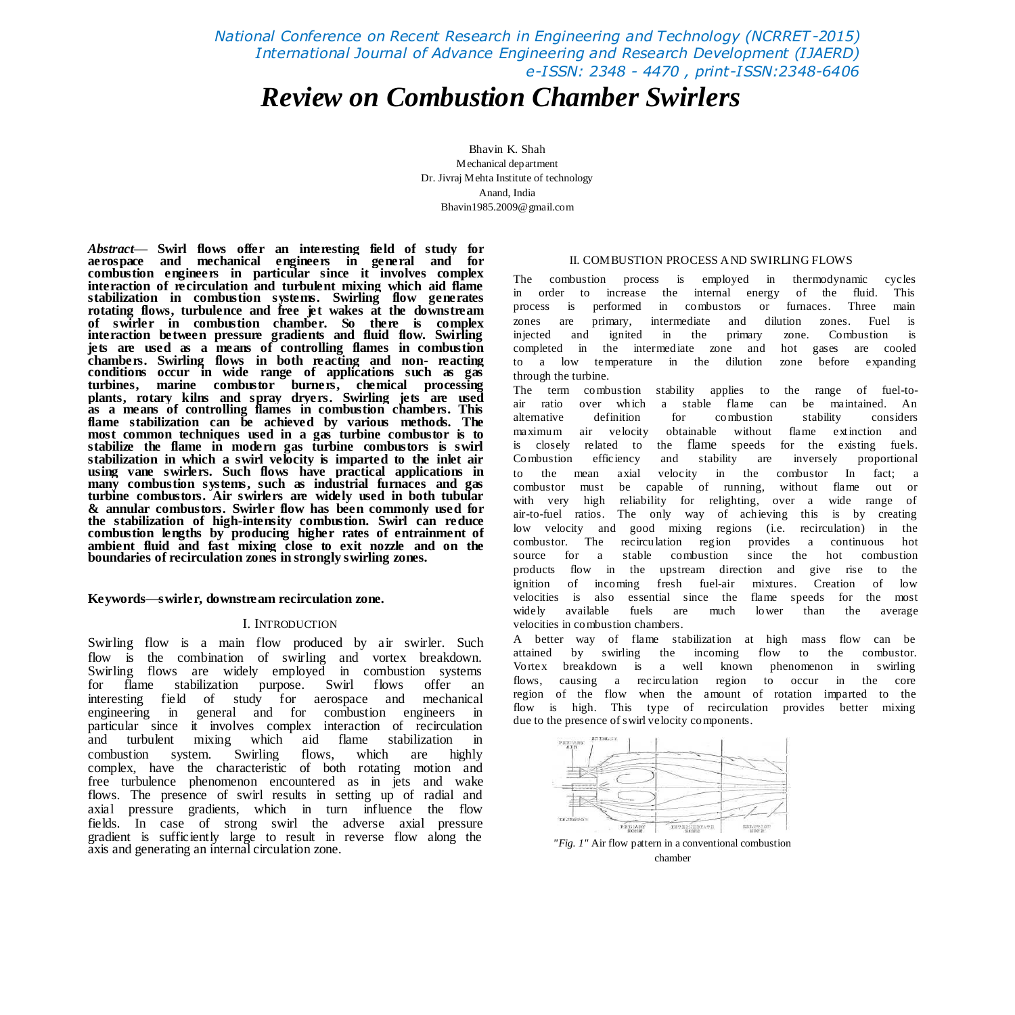*National Conference on Recent Research in Engineering and Technology (NCRRET-2015) International Journal of Advance Engineering and Research Development (IJAERD) e-ISSN: 2348 - 4470 , print-ISSN:2348-6406*

# *Review on Combustion Chamber Swirlers*

Bhavin K. Shah Mechanical department Dr. Jivraj Mehta Institute of technology Anand, India [Bhavin1985.2009@gmail.com](mailto:Bhavin1985.2009@gmail.com)

*Abstract***— Swirl flows offer an interesting field of study for aerospace and mechanical engineers in general and for combustion engineers in particular since it involves complex interaction of recirculation and turbulent mixing which aid flame stabilization in combustion systems. Swirling flow generates rotating flows, turbulence and free jet wakes at the downstream of swirler in combustion chamber. So there is complex interaction between pressure gradients and fluid flow. Swirling jets are used as a means of controlling flames in combustion chambers. Swirling flows in both reacting and non- reacting conditions occur in wide range of applications such as gas turbines, marine combustor burners, chemical processing plants, rotary kilns and spray dryers. Swirling jets are used as a means of controlling flames in combustion chambers. This flame stabilization can be achieved by various methods. The most common techniques used in a gas turbine combustor is to stabilize the flame in modern gas turbine combustors is swirl stabilization in which a swirl velocity is imparted to the inlet air using vane swirlers. Such flows have practical applications in many combustion systems, such as industrial furnaces and gas turbine combustors. Air swirlers are widely used in both tubular & annular combustors. Swirler flow has been commonly used for the stabilization of high-intensity combustion. Swirl can reduce combustion lengths by producing higher rates of entrainment of ambient fluid and fast mixing close to exit nozzle and on the boundaries of recirculation zones in strongly swirling zones.**

# **Keywords—swirler, downstream recirculation zone.**

# I. INTRODUCTION

Swirling flow is a main flow produced by air swirler. Such flow is the combination of swirling and vortex breakdown. Swirling flows are widely employed in combustion systems for flame stabilization purpose. Swirl flows offer an interesting field of study for aerospace and mechanical engineering in general and for combustion engineers in particular since it involves complex interaction of recirculation and turbulent mixing which aid flame stabilization in combustion system. Swirling flows, which are highly complex, have the characteristic of both rotating motion and free turbulence phenomenon encountered as in jets and wake flows. The presence of swirl results in setting up of radial and axial pressure gradients, which in turn influence the flow fields. In case of strong swirl the adverse axial pressure gradient is sufficiently large to result in reverse flow along the axis and generating an internal circulation zone.

## II. COMBUSTION PROCESS AND SWIRLING FLOWS

The combustion process is employed in thermodynamic cycles in order to increase the internal energy of the fluid. This process is performed in combustors or furnaces. Three main zones are primary, intermediate and dilution zones. Fuel is injected and ignited in the primary zone. Combustion is completed in the intermediate zone and hot gases are cooled to a low temperature in the dilution zone before expanding through the turbine.

The term combustion stability applies to the range of fuel-toair ratio over which a stable flame can be maintained. An alternative definition for combustion stability considers maximum air velocity obtainable without flame extinction and is closely related to the flame speeds for the existing fuels. Combustion efficiency and stability are inversely proportional to the mean axial velocity in the combustor In fact; a combustor must be capable of running, without flame out or with very high reliability for relighting, over a wide range of air-to-fuel ratios. The only way of achieving this is by creating low velocity and good mixing regions (i.e. recirculation) in the combustor. The recirculation region provides a continuous hot source for a stable combustion since the hot combustion products flow in the upstream direction and give rise to the ignition of incoming fresh fuel-air mixtures. Creation of low velocities is also essential since the flame speeds for the most widely available fuels are much lower than the average velocities in combustion chambers.

A better way of flame stabilization at high mass flow can be attained by swirling the incoming flow to the combustor. Vortex breakdown is a well known phenomenon in swirling flows, causing a recirculation region to occur in the core region of the flow when the amount of rotation imparted to the flow is high. This type of recirculation provides better mixing due to the presence of swirl velocity components.



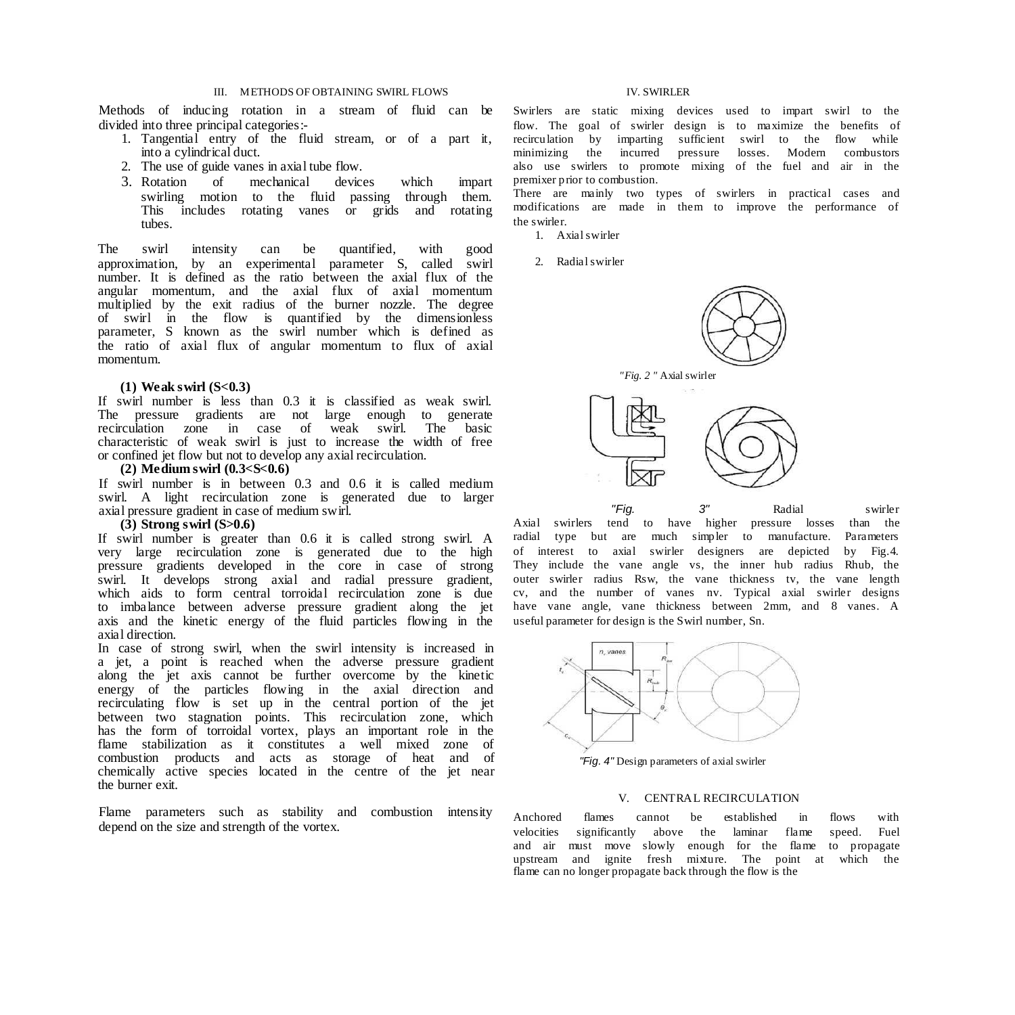# III. METHODS OF OBTAINING SWIRL FLOWS IV. SWIRLER

Methods of inducing rotation in a stream of fluid can be divided into three principal categories:-

- 1. Tangential entry of the fluid stream, or of a part it, into a cylindrical duct.
- 2. The use of guide vanes in axial tube flow.
- 3. Rotation of mechanical devices which impart swirling motion to the fluid passing through them. This includes rotating vanes or grids and rotating tubes.

The swirl intensity can be quantified, with good approximation, by an experimental parameter S, called swirl number. It is defined as the ratio between the axial flux of the angular momentum, and the axial flux of axial momentum multiplied by the exit radius of the burner nozzle. The degree of swirl in the flow is quantified by the dimensionless parameter, S known as the swirl number which is defined as the ratio of axial flux of angular momentum to flux of axial momentum.

# **(1) Weak swirl (S<0.3)**

If swirl number is less than 0.3 it is classified as weak swirl. The pressure gradients are not large enough to generate recirculation zone in case of weak swirl. The basic characteristic of weak swirl is just to increase the width of free or confined jet flow but not to develop any axial recirculation.

# **(2) Medium swirl (0.3<S<0.6)**

If swirl number is in between 0.3 and 0.6 it is called medium swirl. A light recirculation zone is generated due to larger axial pressure gradient in case of medium swirl.

# **(3) Strong swirl (S>0.6)**

If swirl number is greater than 0.6 it is called strong swirl. A very large recirculation zone is generated due to the high pressure gradients developed in the core in case of strong swirl. It develops strong axial and radial pressure gradient, which aids to form central torroidal recirculation zone is due to imbalance between adverse pressure gradient along the jet axis and the kinetic energy of the fluid particles flowing in the axial direction.

In case of strong swirl, when the swirl intensity is increased in a jet, a point is reached when the adverse pressure gradient along the jet axis cannot be further overcome by the kinetic energy of the particles flowing in the axial direction and recirculating flow is set up in the central portion of the jet between two stagnation points. This recirculation zone, which has the form of torroidal vortex, plays an important role in the flame stabilization as it constitutes a well mixed zone of combustion products and acts as storage of heat and of chemically active species located in the centre of the jet near the burner exit.

Flame parameters such as stability and combustion intensity depend on the size and strength of the vortex.

Swirlers are static mixing devices used to impart swirl to the flow. The goal of swirler design is to maximize the benefits of recirculation by imparting sufficient swirl to the flow while minimizing the incurred pressure losses. Modern combustors also use swirlers to promote mixing of the fuel and air in the premixer prior to combustion.

There are mainly two types of swirlers in practical cases and modifications are made in them to improve the performance of the swirler.

- 1. Axial swirler
- 2. Radial swirler



Axial swirlers tend to have higher pressure losses than the radial type but are much simpler to manufacture. Parameters of interest to axial swirler designers are depicted by Fig.4. They include the vane angle vs, the inner hub radius Rhub, the outer swirler radius Rsw, the vane thickness tv, the vane length cv, and the number of vanes nv. Typical axial swirler designs have vane angle, vane thickness between 2mm, and 8 vanes. A useful parameter for design is the Swirl number, Sn.



*"Fig. 4"* Design parameters of axial swirler

# V. CENTRAL RECIRCULATION

Anchored flames cannot be established in flows with velocities significantly above the laminar flame speed. Fuel and air must move slowly enough for the flame to propagate upstream and ignite fresh mixture. The point at which the flame can no longer propagate back through the flow is the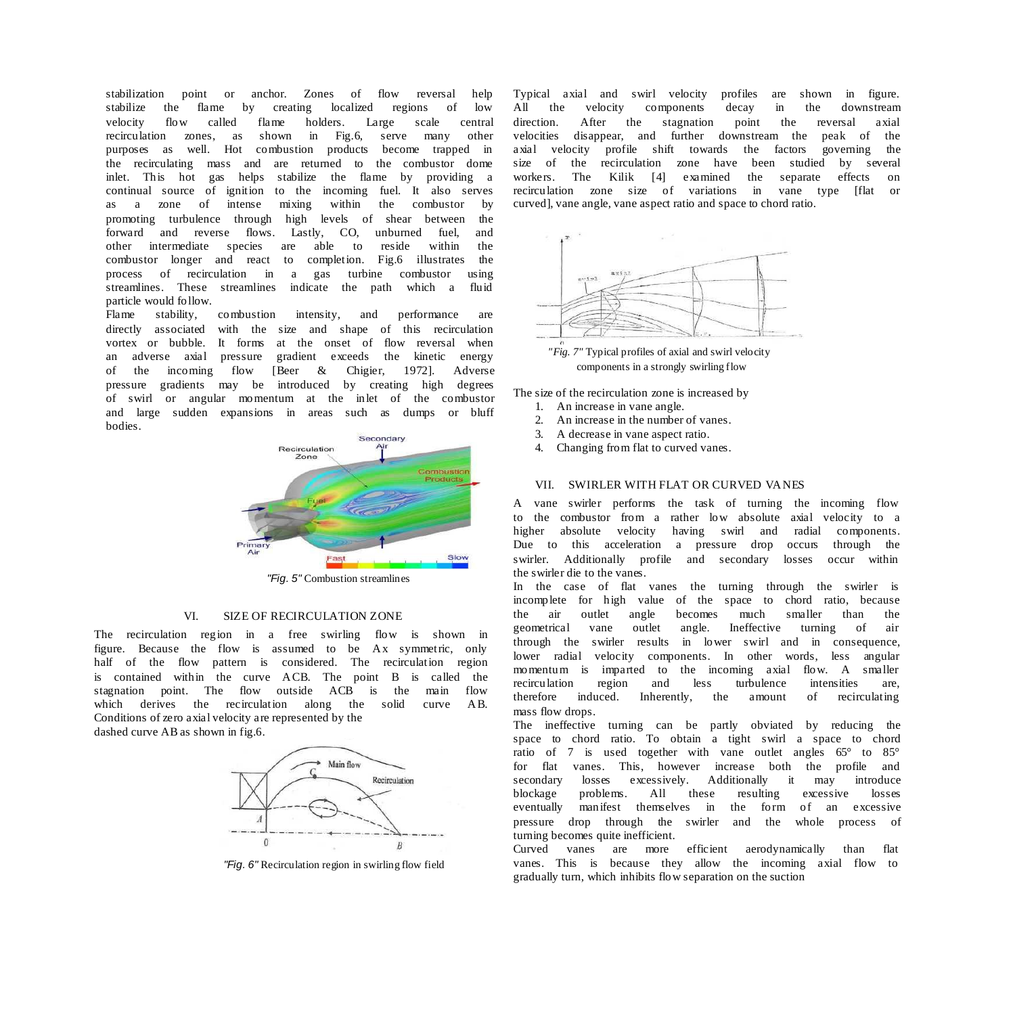stabilization point or anchor. Zones of flow reversal help stabilize the flame by creating localized regions of low velocity flow called flame holders. Large scale central recirculation zones, as shown in Fig.6, serve many other purposes as well. Hot combustion products become trapped in the recirculating mass and are returned to the combustor dome inlet. This hot gas helps stabilize the flame by providing a continual source of ignition to the incoming fuel. It also serves as a zone of intense mixing within the combustor by promoting turbulence through high levels of shear between the forward and reverse flows. Lastly, CO, unburned fuel, and other intermediate species are able to reside within the combustor longer and react to completion. Fig.6 illustrates the process of recirculation in a gas turbine combustor using streamlines. These streamlines indicate the path which a fluid particle would follow.

Flame stability, combustion intensity, and performance are directly associated with the size and shape of this recirculation vortex or bubble. It forms at the onset of flow reversal when an adverse axial pressure gradient exceeds the kinetic energy of the incoming flow [Beer & Chigier, 1972]. Adverse pressure gradients may be introduced by creating high degrees of swirl or angular momentum at the inlet of the combustor and large sudden expansions in areas such as dumps or bluff bodies.



*"Fig. 5"* Combustion streamlines

# VI. SIZE OF RECIRCULATION ZONE

The recirculation region in a free swirling flow is shown in figure. Because the flow is assumed to be Ax symmetric, only half of the flow pattern is considered. The recirculation region is contained within the curve ACB. The point B is called the stagnation point. The flow outside ACB is the main flow which derives the recirculation along the solid curve AB. Conditions of zero axial velocity are represented by the dashed curve AB as shown in fig.6.



*"Fig. 6"* Recirculation region in swirling flow field

Typical axial and swirl velocity profiles are shown in figure. All the velocity components decay in the downstream direction. After the stagnation point the reversal axial velocities disappear, and further downstream the peak of the axial velocity profile shift towards the factors governing the size of the recirculation zone have been studied by several workers. The Kilik [4] examined the separate effects on recirculation zone size of variations in vane type [flat or curved], vane angle, vane aspect ratio and space to chord ratio.



*"Fig. 7"* Typical profiles of axial and swirl velocity components in a strongly swirling flow

The size of the recirculation zone is increased by

- 1. An increase in vane angle.
- 2. An increase in the number of vanes.
- 3. A decrease in vane aspect ratio.
- 4. Changing from flat to curved vanes.

# VII. SWIRLER WITH FLAT OR CURVED VANES

A vane swirler performs the task of turning the incoming flow to the combustor from a rather low absolute axial velocity to a higher absolute velocity having swirl and radial components. Due to this acceleration a pressure drop occurs through the swirler. Additionally profile and secondary losses occur within the swirler die to the vanes.

In the case of flat vanes the turning through the swirler is incomplete for high value of the space to chord ratio, because the air outlet angle becomes much smaller than the geometrical vane outlet angle. Ineffective turning of air through the swirler results in lower swirl and in consequence, lower radial velocity components. In other words, less angular momentum is imparted to the incoming axial flow. A smaller recirculation region and less turbulence intensities are, therefore induced. Inherently, the amount of recirculating mass flow drops.

The ineffective turning can be partly obviated by reducing the space to chord ratio. To obtain a tight swirl a space to chord ratio of 7 is used together with vane outlet angles 65° to 85° for flat vanes. This, however increase both the profile and secondary losses excessively. Additionally it may introduce blockage problems. All these resulting excessive losses eventually manifest themselves in the form of an excessive pressure drop through the swirler and the whole process of turning becomes quite inefficient.

Curved vanes are more efficient aerodynamically than flat vanes. This is because they allow the incoming axial flow to gradually turn, which inhibits flow separation on the suction